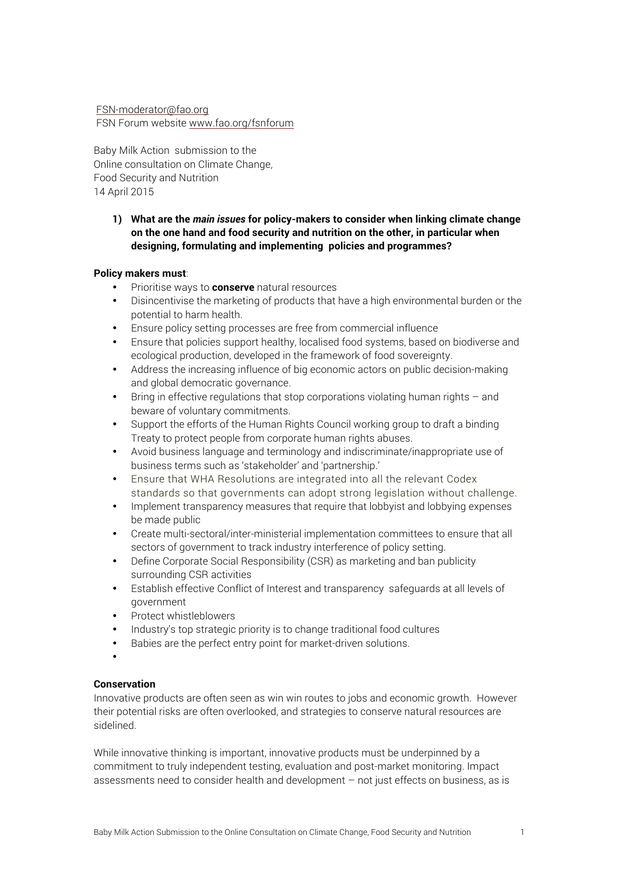### FSN-moderator@fao.org FSN Forum website www.fao.org/fsnforum

Baby Milk Action submission to the Online consultation on Climate Change, Food Security and Nutrition 14 April 2015

# **1) What are the** *main issues* **for policy-makers to consider when linking climate change on the one hand and food security and nutrition on the other, in particular when designing, formulating and implementing policies and programmes?**

### **Policy makers must**:

- Prioritise ways to **conserve** natural resources
- Disincentivise the marketing of products that have a high environmental burden or the potential to harm health.
- Ensure policy setting processes are free from commercial influence
- Ensure that policies support healthy, localised food systems, based on biodiverse and ecological production, developed in the framework of food sovereignty.
- Address the increasing influence of big economic actors on public decision-making and global democratic governance.
- Bring in effective regulations that stop corporations violating human rights  $-$  and beware of voluntary commitments.
- Support the efforts of the Human Rights Council working group to draft a binding Treaty to protect people from corporate human rights abuses.
- Avoid business language and terminology and indiscriminate/inappropriate use of business terms such as 'stakeholder' and 'partnership.'
- Ensure that WHA Resolutions are integrated into all the relevant Codex standards so that governments can adopt strong legislation without challenge.
- Implement transparency measures that require that lobbyist and lobbying expenses be made public
- Create multi-sectoral/inter-ministerial implementation committees to ensure that all sectors of government to track industry interference of policy setting.
- Define Corporate Social Responsibility (CSR) as marketing and ban publicity surrounding CSR activities
- Establish effective Conflict of Interest and transparency safeguards at all levels of government
- Protect whistleblowers
- Industry's top strategic priority is to change traditional food cultures
- Babies are the perfect entry point for market-driven solutions.
- •

# **Conservation**

Innovative products are often seen as win win routes to jobs and economic growth. However their potential risks are often overlooked, and strategies to conserve natural resources are sidelined.

While innovative thinking is important, innovative products must be underpinned by a commitment to truly independent testing, evaluation and post-market monitoring. Impact assessments need to consider health and development – not just effects on business, as is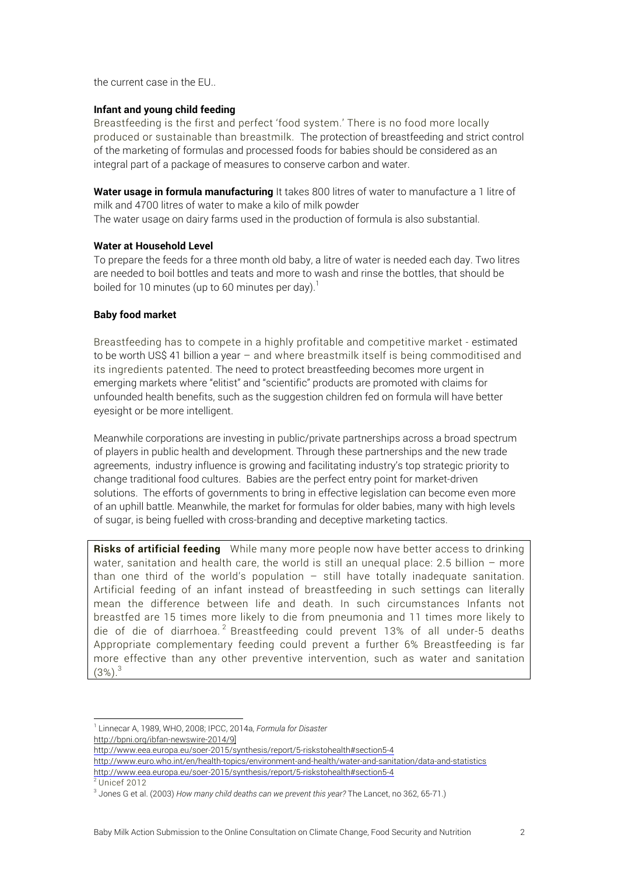the current case in the EU..

### **Infant and young child feeding**

Breastfeeding is the first and perfect 'food system.' There is no food more locally produced or sustainable than breastmilk. The protection of breastfeeding and strict control of the marketing of formulas and processed foods for babies should be considered as an integral part of a package of measures to conserve carbon and water.

**Water usage in formula manufacturing** It takes 800 litres of water to manufacture a 1 litre of milk and 4700 litres of water to make a kilo of milk powder The water usage on dairy farms used in the production of formula is also substantial.

### **Water at Household Level**

To prepare the feeds for a three month old baby, a litre of water is needed each day. Two litres are needed to boil bottles and teats and more to wash and rinse the bottles, that should be boiled for 10 minutes (up to 60 minutes per day).<sup>1</sup>

### **Baby food market**

Breastfeeding has to compete in a highly profitable and competitive market - estimated to be worth US\$ 41 billion a year – and where breastmilk itself is being commoditised and its ingredients patented. The need to protect breastfeeding becomes more urgent in emerging markets where "elitist" and "scientific" products are promoted with claims for unfounded health benefits, such as the suggestion children fed on formula will have better eyesight or be more intelligent.

Meanwhile corporations are investing in public/private partnerships across a broad spectrum of players in public health and development. Through these partnerships and the new trade agreements, industry influence is growing and facilitating industry's top strategic priority to change traditional food cultures. Babies are the perfect entry point for market-driven solutions. The efforts of governments to bring in effective legislation can become even more of an uphill battle. Meanwhile, the market for formulas for older babies, many with high levels of sugar, is being fuelled with cross-branding and deceptive marketing tactics.

**Risks of artificial feeding** While many more people now have better access to drinking water, sanitation and health care, the world is still an unequal place: 2.5 billion – more than one third of the world's population – still have totally inadequate sanitation. Artificial feeding of an infant instead of breastfeeding in such settings can literally mean the difference between life and death. In such circumstances Infants not breastfed are 15 times more likely to die from pneumonia and 11 times more likely to die of die of diarrhoea.<sup>2</sup> Breastfeeding could prevent 13% of all under-5 deaths Appropriate complementary feeding could prevent a further 6% Breastfeeding is far more effective than any other preventive intervention, such as water and sanitation  $(3\%)$ <sup>3</sup>

1 Linnecar A, 1989, WHO, 2008; IPCC, 2014a, *Formula for Disaster*

http://bpni.org/ibfan-newswire-2014/9]

- http://www.eea.europa.eu/soer-2015/synthesis/report/5-riskstohealth#section5-4
- http://www.euro.who.int/en/health-topics/environment-and-health/water-and-sanitation/data-and-statistics

http://www.eea.europa.eu/soer-2015/synthesis/report/5-riskstohealth#section5-4  $2$  Unicef 2012

<sup>3</sup> Jones G et al. (2003) *How many child deaths can we prevent this year?* The Lancet, no 362, 65-71.)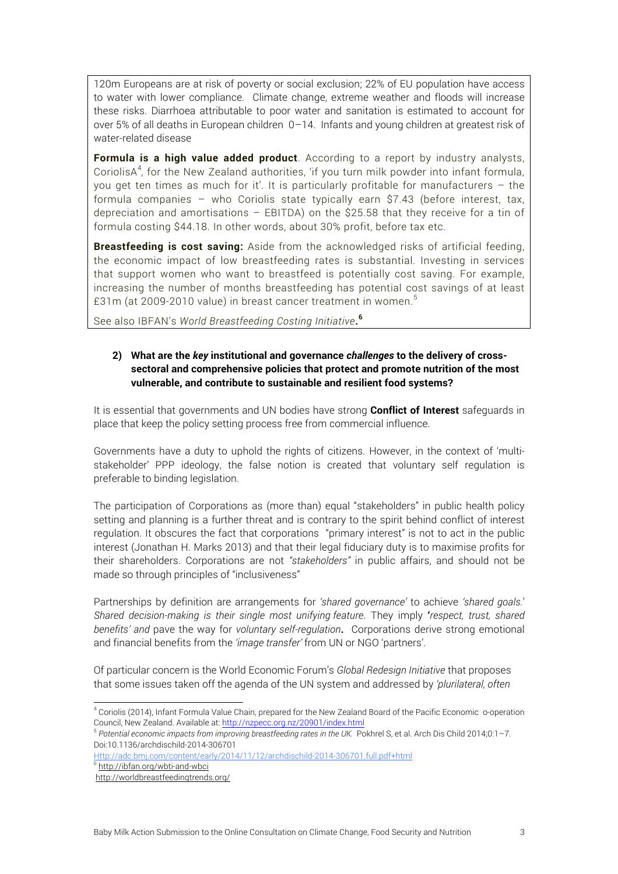120m Europeans are at risk of poverty or social exclusion; 22% of EU population have access to water with lower compliance. Climate change, extreme weather and floods will increase these risks. Diarrhoea attributable to poor water and sanitation is estimated to account for over 5% of all deaths in European children 0–14. Infants and young children at greatest risk of water-related disease

**Formula is a high value added product**. According to a report by industry analysts, CoriolisA<sup>4</sup>, for the New Zealand authorities, 'if you turn milk powder into infant formula, you get ten times as much for it'. It is particularly profitable for manufacturers – the formula companies – who Coriolis state typically earn \$7.43 (before interest, tax, depreciation and amortisations – EBITDA) on the \$25.58 that they receive for a tin of formula costing \$44.18. In other words, about 30% profit, before tax etc.

**Breastfeeding is cost saving:** Aside from the acknowledged risks of artificial feeding, the economic impact of low breastfeeding rates is substantial. Investing in services that support women who want to breastfeed is potentially cost saving. For example, increasing the number of months breastfeeding has potential cost savings of at least £31m (at 2009-2010 value) in breast cancer treatment in women.<sup>5</sup>

See also IBFAN's *World Breastfeeding Costing Initiative***. 6**

# **2) What are the** *key* **institutional and governance** *challenges* **to the delivery of crosssectoral and comprehensive policies that protect and promote nutrition of the most vulnerable, and contribute to sustainable and resilient food systems?**

It is essential that governments and UN bodies have strong **Conflict of Interest** safeguards in place that keep the policy setting process free from commercial influence.

Governments have a duty to uphold the rights of citizens. However, in the context of 'multistakeholder' PPP ideology, the false notion is created that voluntary self regulation is preferable to binding legislation.

The participation of Corporations as (more than) equal "stakeholders" in public health policy setting and planning is a further threat and is contrary to the spirit behind conflict of interest regulation. It obscures the fact that corporations "primary interest" is not to act in the public interest (Jonathan H. Marks 2013) and that their legal fiduciary duty is to maximise profits for their shareholders. Corporations are not *"stakeholders"* in public affairs, and should not be made so through principles of "inclusiveness"

Partnerships by definition are arrangements for *'shared governance'* to achieve *'shared goals.*' *Shared decision-making is their single most unifying feature*. They imply **'***respect, trust, shared benefits' and* pave the way for *voluntary self-regulation***.** Corporations derive strong emotional and financial benefits from the *'image transfer'* from UN or NGO 'partners'.

Of particular concern is the World Economic Forum's *Global Redesign Initiative* that proposes that some issues taken off the agenda of the UN system and addressed by *'plurilateral, often* 

Http://adc.bmj.com/content/early/2014/11/12/archdischild-2014-306701.full.pdf+html

 <sup>4</sup> Coriolis (2014), Infant Formula Value Chain, prepared for the New Zealand Board of the Pacific Economic o-operation Council, New Zealand. Available at: http://nzpecc.org.nz/20901/index.html

<sup>&</sup>lt;sup>5</sup> Potential economic impacts from improving breastfeeding rates in the UK. Pokhrel S, et al. Arch Dis Child 2014;0:1–7. Doi:10.1136/archdischild-2014-306701

<sup>&</sup>lt;sup>6</sup> http://ibfan.org/wbti-and-wbci

http://worldbreastfeedingtrends.org/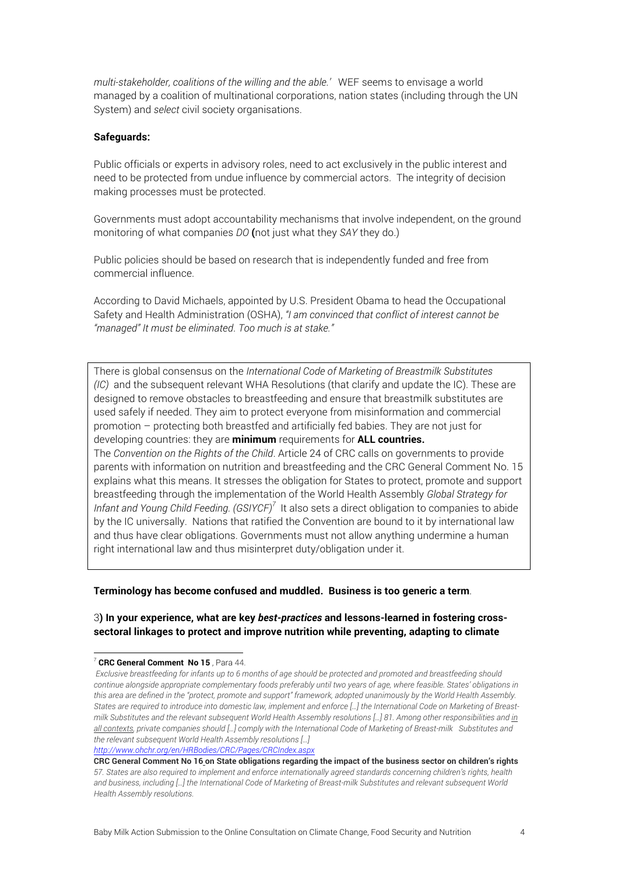*multi-stakeholder, coalitions of the willing and the able.'* WEF seems to envisage a world managed by a coalition of multinational corporations, nation states (including through the UN System) and *select* civil society organisations.

### **Safeguards:**

Public officials or experts in advisory roles, need to act exclusively in the public interest and need to be protected from undue influence by commercial actors. The integrity of decision making processes must be protected.

Governments must adopt accountability mechanisms that involve independent, on the ground monitoring of what companies *DO* **(**not just what they *SAY* they do.)

Public policies should be based on research that is independently funded and free from commercial influence.

According to David Michaels, appointed by U.S. President Obama to head the Occupational Safety and Health Administration (OSHA), *"I am convinced that conflict of interest cannot be "managed" It must be eliminated*. *Too much is at stake."*

There is global consensus on the *International Code of Marketing of Breastmilk Substitutes (IC)* and the subsequent relevant WHA Resolutions (that clarify and update the IC). These are designed to remove obstacles to breastfeeding and ensure that breastmilk substitutes are used safely if needed. They aim to protect everyone from misinformation and commercial promotion – protecting both breastfed and artificially fed babies. They are not just for developing countries: they are **minimum** requirements for **ALL countries.** The *Convention on the Rights of the Child*. Article 24 of CRC calls on governments to provide parents with information on nutrition and breastfeeding and the CRC General Comment No. 15 explains what this means. It stresses the obligation for States to protect, promote and support breastfeeding through the implementation of the World Health Assembly *Global Strategy for*  Infant and Young Child Feeding. (GSIYCF)<sup>7</sup> It also sets a direct obligation to companies to abide by the IC universally. Nations that ratified the Convention are bound to it by international law and thus have clear obligations. Governments must not allow anything undermine a human

**Terminology has become confused and muddled. Business is too generic a term**.

right international law and thus misinterpret duty/obligation under it.

### 3**) In your experience, what are key** *best-practices* **and lessons-learned in fostering crosssectoral linkages to protect and improve nutrition while preventing, adapting to climate**

*http://www.ohchr.org/en/HRBodies/CRC/Pages/CRCIndex.aspx*

 <sup>7</sup> **CRC General Comment No 15** , Para 44.

*Exclusive breastfeeding for infants up to 6 months of age should be protected and promoted and breastfeeding should continue alongside appropriate complementary foods preferably until two years of age, where feasible. States' obligations in this area are defined in the "protect, promote and support" framework, adopted unanimously by the World Health Assembly. States are required to introduce into domestic law, implement and enforce […] the International Code on Marketing of Breastmilk Substitutes and the relevant subsequent World Health Assembly resolutions […] 81. Among other responsibilities and in all contexts, private companies should […] comply with the International Code of Marketing of Breast-milk Substitutes and the relevant subsequent World Health Assembly resolutions […]* 

**CRC General Comment No 16 on State obligations regarding the impact of the business sector on children's rights** *57. States are also required to implement and enforce internationally agreed standards concerning children's rights, health and business, including […] the International Code of Marketing of Breast-milk Substitutes and relevant subsequent World Health Assembly resolutions.*